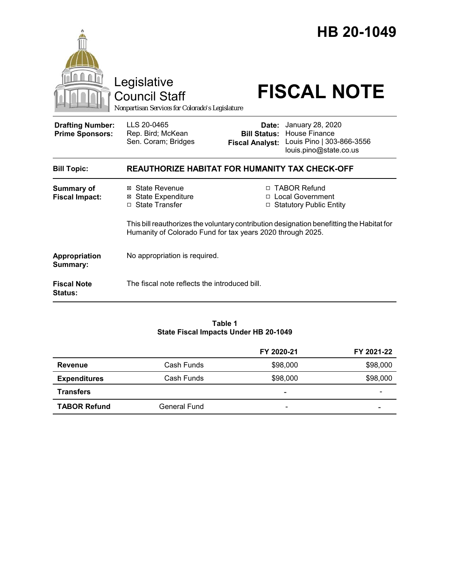|                                                   | Legislative<br><b>Council Staff</b><br>Nonpartisan Services for Colorado's Legislature                                                                  | HB 20-1049<br><b>FISCAL NOTE</b>                                                                                                                          |  |  |
|---------------------------------------------------|---------------------------------------------------------------------------------------------------------------------------------------------------------|-----------------------------------------------------------------------------------------------------------------------------------------------------------|--|--|
| <b>Drafting Number:</b><br><b>Prime Sponsors:</b> | LLS 20-0465<br>Rep. Bird; McKean<br>Sen. Coram; Bridges                                                                                                 | January 28, 2020<br>Date:<br><b>House Finance</b><br><b>Bill Status:</b><br>Louis Pino   303-866-3556<br><b>Fiscal Analyst:</b><br>louis.pino@state.co.us |  |  |
| <b>Bill Topic:</b>                                |                                                                                                                                                         | <b>REAUTHORIZE HABITAT FOR HUMANITY TAX CHECK-OFF</b>                                                                                                     |  |  |
| <b>Summary of</b><br><b>Fiscal Impact:</b>        | ⊠ State Revenue<br><b>⊠</b> State Expenditure<br>□ State Transfer                                                                                       | □ TABOR Refund<br>□ Local Government<br>□ Statutory Public Entity                                                                                         |  |  |
|                                                   | This bill reauthorizes the voluntary contribution designation benefitting the Habitat for<br>Humanity of Colorado Fund for tax years 2020 through 2025. |                                                                                                                                                           |  |  |
| <b>Appropriation</b><br>Summary:                  | No appropriation is required.                                                                                                                           |                                                                                                                                                           |  |  |
| <b>Fiscal Note</b><br><b>Status:</b>              | The fiscal note reflects the introduced bill.                                                                                                           |                                                                                                                                                           |  |  |

#### **Table 1 State Fiscal Impacts Under HB 20-1049**

|                     |              | FY 2020-21               | FY 2021-22 |
|---------------------|--------------|--------------------------|------------|
| <b>Revenue</b>      | Cash Funds   | \$98,000                 | \$98,000   |
| <b>Expenditures</b> | Cash Funds   | \$98,000                 | \$98,000   |
| <b>Transfers</b>    |              | $\overline{\phantom{a}}$ |            |
| <b>TABOR Refund</b> | General Fund | $\overline{\phantom{a}}$ |            |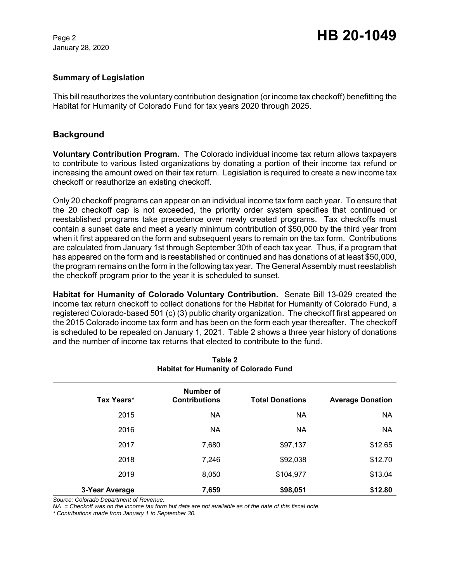January 28, 2020

# Page 2 **HB 20-1049**

#### **Summary of Legislation**

This bill reauthorizes the voluntary contribution designation (or income tax checkoff) benefitting the Habitat for Humanity of Colorado Fund for tax years 2020 through 2025.

# **Background**

**Voluntary Contribution Program.** The Colorado individual income tax return allows taxpayers to contribute to various listed organizations by donating a portion of their income tax refund or increasing the amount owed on their tax return. Legislation is required to create a new income tax checkoff or reauthorize an existing checkoff.

Only 20 checkoff programs can appear on an individual income tax form each year. To ensure that the 20 checkoff cap is not exceeded, the priority order system specifies that continued or reestablished programs take precedence over newly created programs. Tax checkoffs must contain a sunset date and meet a yearly minimum contribution of \$50,000 by the third year from when it first appeared on the form and subsequent years to remain on the tax form. Contributions are calculated from January 1st through September 30th of each tax year. Thus, if a program that has appeared on the form and is reestablished or continued and has donations of at least \$50,000, the program remains on the form in the following tax year. The General Assembly must reestablish the checkoff program prior to the year it is scheduled to sunset.

**Habitat for Humanity of Colorado Voluntary Contribution.** Senate Bill 13-029 created the income tax return checkoff to collect donations for the Habitat for Humanity of Colorado Fund, a registered Colorado-based 501 (c) (3) public charity organization. The checkoff first appeared on the 2015 Colorado income tax form and has been on the form each year thereafter. The checkoff is scheduled to be repealed on January 1, 2021.Table 2 shows a three year history of donations and the number of income tax returns that elected to contribute to the fund.

| Tax Years*     | Number of<br><b>Contributions</b> | <b>Total Donations</b> | <b>Average Donation</b> |
|----------------|-----------------------------------|------------------------|-------------------------|
| 2015           | <b>NA</b>                         | <b>NA</b>              | <b>NA</b>               |
| 2016           | <b>NA</b>                         | <b>NA</b>              | <b>NA</b>               |
| 2017           | 7,680                             | \$97,137               | \$12.65                 |
| 2018           | 7,246                             | \$92,038               | \$12.70                 |
| 2019           | 8,050                             | \$104,977              | \$13.04                 |
| 3-Year Average | 7,659                             | \$98,051               | \$12.80                 |

**Table 2 Habitat for Humanity of Colorado Fund**

*Source: Colorado Department of Revenue.*

*NA = Checkoff was on the income tax form but data are not available as of the date of this fiscal note.*

*\* Contributions made from January 1 to September 30.*